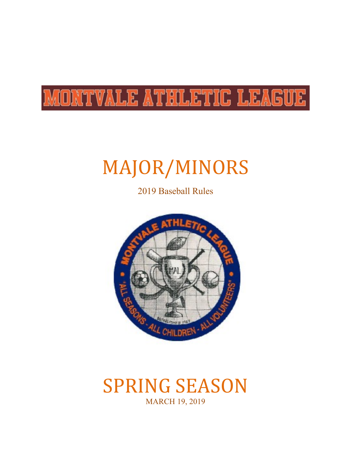# MONTVALE ATHLETIC LEAGUE

# MAJOR/MINORS

2019 Baseball Rules



# **SPRING SEASON** MARCH 19, 2019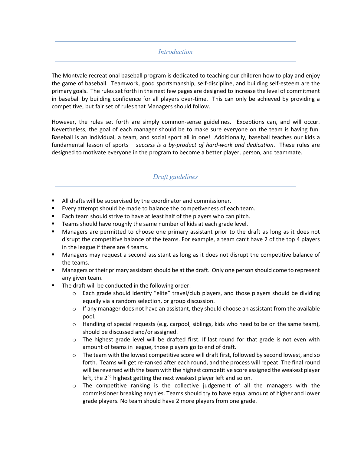#### *Introduction*

The Montvale recreational baseball program is dedicated to teaching our children how to play and enjoy the game of baseball. Teamwork, good sportsmanship, self-discipline, and building self-esteem are the primary goals. The rules set forth in the next few pages are designed to increase the level of commitment in baseball by building confidence for all players over-time. This can only be achieved by providing a competitive, but fair set of rules that Managers should follow.

However, the rules set forth are simply common-sense guidelines. Exceptions can, and will occur. Nevertheless, the goal of each manager should be to make sure everyone on the team is having fun. Baseball is an individual, a team, and social sport all in one! Additionally, baseball teaches our kids a fundamental lesson of sports – *success is a by-product of hard-work and dedication*. These rules are designed to motivate everyone in the program to become a better player, person, and teammate.

# *Draft guidelines*

- All drafts will be supervised by the coordinator and commissioner.
- Every attempt should be made to balance the competiveness of each team.
- Each team should strive to have at least half of the players who can pitch.
- Teams should have roughly the same number of kids at each grade level.
- Managers are permitted to choose one primary assistant prior to the draft as long as it does not disrupt the competitive balance of the teams. For example, a team can't have 2 of the top 4 players in the league if there are 4 teams.
- **■** Managers may request a second assistant as long as it does not disrupt the competitive balance of the teams.
- Managers or their primary assistant should be at the draft. Only one person should come to represent any given team.
- The draft will be conducted in the following order:
	- $\circ$  Each grade should identify "elite" travel/club players, and those players should be dividing equally via a random selection, or group discussion.
	- $\circ$  If any manager does not have an assistant, they should choose an assistant from the available pool.
	- $\circ$  Handling of special requests (e.g. carpool, siblings, kids who need to be on the same team), should be discussed and/or assigned.
	- $\circ$  The highest grade level will be drafted first. If last round for that grade is not even with amount of teams in league, those players go to end of draft.
	- $\circ$  The team with the lowest competitive score will draft first, followed by second lowest, and so forth. Teams will get re-ranked after each round, and the process will repeat. The final round will be reversed with the team with the highest competitive score assigned the weakest player left, the 2<sup>nd</sup> highest getting the next weakest player left and so on.
	- $\circ$  The competitive ranking is the collective judgement of all the managers with the commissioner breaking any ties. Teams should try to have equal amount of higher and lower grade players. No team should have 2 more players from one grade.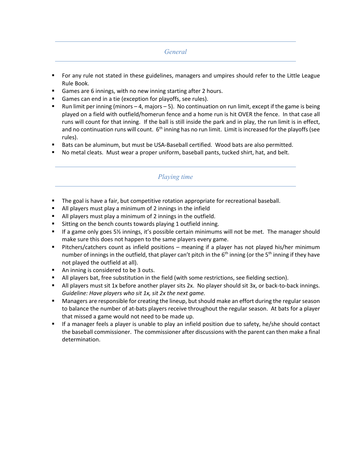#### *General*

- § For any rule not stated in these guidelines, managers and umpires should refer to the Little League Rule Book.
- Games are 6 innings, with no new inning starting after 2 hours.
- § Games can end in a tie (exception for playoffs, see rules).
- Run limit per inning (minors  $-4$ , majors  $-5$ ). No continuation on run limit, except if the game is being played on a field with outfield/homerun fence and a home run is hit OVER the fence. In that case all runs will count for that inning. If the ball is still inside the park and in play, the run limit is in effect, and no continuation runs will count.  $6<sup>th</sup>$  inning has no run limit. Limit is increased for the playoffs (see rules).
- § Bats can be aluminum, but must be USA-Baseball certified. Wood bats are also permitted.
- § No metal cleats. Must wear a proper uniform, baseball pants, tucked shirt, hat, and belt.

# *Playing time*

- § The goal is have a fair, but competitive rotation appropriate for recreational baseball.
- All players must play a minimum of 2 innings in the infield
- All players must play a minimum of 2 innings in the outfield.
- Sitting on the bench counts towards playing 1 outfield inning.
- If a game only goes 5<sup>1</sup>/<sub>2</sub> innings, it's possible certain minimums will not be met. The manager should make sure this does not happen to the same players every game.
- Pitchers/catchers count as infield positions meaning if a player has not played his/her minimum number of innings in the outfield, that player can't pitch in the  $6<sup>th</sup>$  inning (or the  $5<sup>th</sup>$  inning if they have not played the outfield at all).
- An inning is considered to be 3 outs.
- **•** All players bat, free substitution in the field (with some restrictions, see fielding section).
- All players must sit 1x before another player sits 2x. No player should sit 3x, or back-to-back innings. *Guideline: Have players who sit 1x, sit 2x the next game.*
- § Managers are responsible for creating the lineup, but should make an effort during the regular season to balance the number of at-bats players receive throughout the regular season. At bats for a player that missed a game would not need to be made up.
- If a manager feels a player is unable to play an infield position due to safety, he/she should contact the baseball commissioner. The commissioner after discussions with the parent can then make a final determination.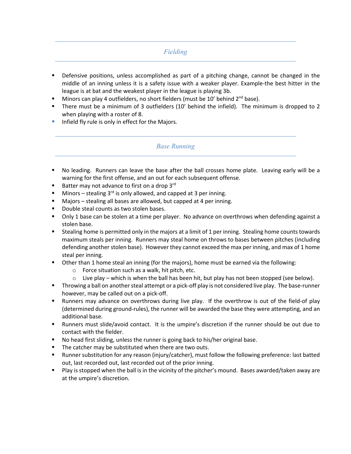# *Fielding*

- Defensive positions, unless accomplished as part of a pitching change, cannot be changed in the middle of an inning unless it is a safety issue with a weaker player. Example-the best hitter in the league is at bat and the weakest player in the league is playing 3b.
- Minors can play 4 outfielders, no short fielders (must be 10' behind 2<sup>nd</sup> base).
- § There must be a minimum of 3 outfielders (10' behind the infield). The minimum is dropped to 2 when playing with a roster of 8.
- **Infield fly rule is only in effect for the Majors.**

#### *Base Running*

- No leading. Runners can leave the base after the ball crosses home plate. Leaving early will be a warning for the first offense, and an out for each subsequent offense.
- Batter may not advance to first on a drop  $3^{\text{rd}}$
- **•** Minors stealing 3<sup>rd</sup> is only allowed, and capped at 3 per inning.
- Majors stealing all bases are allowed, but capped at 4 per inning.
- § Double steal counts as two stolen bases.
- Only 1 base can be stolen at a time per player. No advance on overthrows when defending against a stolen base.
- Stealing home is permitted only in the majors at a limit of 1 per inning. Stealing home counts towards maximum steals per inning. Runners may steal home on throws to bases between pitches (including defending another stolen base). However they cannot exceed the max per inning, and max of 1 home steal per inning.
- § Other than 1 home steal an inning (for the majors), home must be earned via the following:
	- o Force situation such as a walk, hit pitch, etc.
	- $\circ$  Live play which is when the ball has been hit, but play has not been stopped (see below).
- § Throwing a ball on another steal attempt or a pick-off play is not considered live play. The base-runner however, may be called out on a pick-off.
- § Runners may advance on overthrows during live play. If the overthrow is out of the field-of play (determined during ground-rules), the runner will be awarded the base they were attempting, and an additional base.
- § Runners must slide/avoid contact. It is the umpire's discretion if the runner should be out due to contact with the fielder.
- No head first sliding, unless the runner is going back to his/her original base.
- The catcher may be substituted when there are two outs.
- § Runner substitution for any reason (injury/catcher), must follow the following preference: last batted out, last recorded out, last recorded out of the prior inning.
- Play is stopped when the ball is in the vicinity of the pitcher's mound. Bases awarded/taken away are at the umpire's discretion.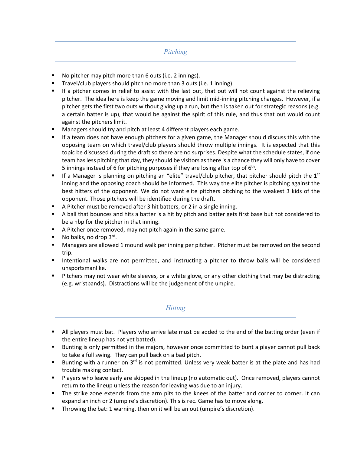#### *Pitching*

- No pitcher may pitch more than 6 outs (i.e. 2 innings).
- Travel/club players should pitch no more than 3 outs (i.e. 1 inning).
- If a pitcher comes in relief to assist with the last out, that out will not count against the relieving pitcher. The idea here is keep the game moving and limit mid-inning pitching changes. However, if a pitcher gets the first two outs without giving up a run, but then is taken out for strategic reasons (e.g. a certain batter is up), that would be against the spirit of this rule, and thus that out would count against the pitchers limit.
- Managers should try and pitch at least 4 different players each game.
- If a team does not have enough pitchers for a given game, the Manager should discuss this with the opposing team on which travel/club players should throw multiple innings. It is expected that this topic be discussed during the draft so there are no surprises. Despite what the schedule states, if one team has less pitching that day, they should be visitors as there is a chance they will only have to cover 5 innings instead of 6 for pitching purposes if they are losing after top of  $6<sup>th</sup>$ .
- If a Manager is planning on pitching an "elite" travel/club pitcher, that pitcher should pitch the  $1<sup>st</sup>$ inning and the opposing coach should be informed. This way the elite pitcher is pitching against the best hitters of the opponent. We do not want elite pitchers pitching to the weakest 3 kids of the opponent. Those pitchers will be identified during the draft.
- A Pitcher must be removed after 3 hit batters, or 2 in a single inning.
- § A ball that bounces and hits a batter is a hit by pitch and batter gets first base but not considered to be a hbp for the pitcher in that inning.
- A Pitcher once removed, may not pitch again in the same game.
- No balks, no drop  $3^{\text{rd}}$ .
- Managers are allowed 1 mound walk per inning per pitcher. Pitcher must be removed on the second trip.
- Intentional walks are not permitted, and instructing a pitcher to throw balls will be considered unsportsmanlike.
- Pitchers may not wear white sleeves, or a white glove, or any other clothing that may be distracting (e.g. wristbands). Distractions will be the judgement of the umpire.

#### *Hitting*

- **•** All players must bat. Players who arrive late must be added to the end of the batting order (even if the entire lineup has not yet batted).
- Bunting is only permitted in the majors, however once committed to bunt a player cannot pull back to take a full swing. They can pull back on a bad pitch.
- Bunting with a runner on 3<sup>rd</sup> is not permitted. Unless very weak batter is at the plate and has had trouble making contact.
- Players who leave early are skipped in the lineup (no automatic out). Once removed, players cannot return to the lineup unless the reason for leaving was due to an injury.
- The strike zone extends from the arm pits to the knees of the batter and corner to corner. It can expand an inch or 2 (umpire's discretion). This is rec. Game has to move along.
- Throwing the bat: 1 warning, then on it will be an out (umpire's discretion).